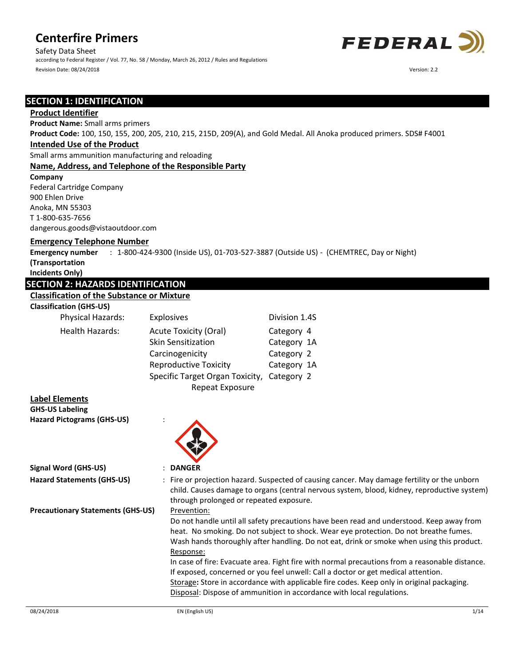Safety Data Sheet according to Federal Register / Vol. 77, No. 58 / Monday, March 26, 2012 / Rules and Regulations Revision Date: 08/24/2018 Version: 2.2



## **SECTION 1: IDENTIFICATION**

### **Product Identifier**

**Product Name:** Small arms primers

**Product Code:** 100, 150, 155, 200, 205, 210, 215, 215D, 209(A), and Gold Medal. All Anoka produced primers. SDS# F4001

## **Intended Use of the Product**

Small arms ammunition manufacturing and reloading

### **Name, Address, and Telephone of the Responsible Party**

**Company**  Federal Cartridge Company 900 Ehlen Drive Anoka, MN 55303 T 1-800-635-7656

dangerous.goods@vistaoutdoor.com

### **Emergency Telephone Number**

**Emergency number (Transportation**  : 1-800-424-9300 (Inside US), 01-703-527-3887 (Outside US) - (CHEMTREC, Day or Night)

**Incidents Only)**

## **SECTION 2: HAZARDS IDENTIFICATION**

## **Classification of the Substance or Mixture**

#### **Classification (GHS-US)**

| Physical Hazards:      | Explosives                                                | Division 1.4S             |
|------------------------|-----------------------------------------------------------|---------------------------|
| <b>Health Hazards:</b> | <b>Acute Toxicity (Oral)</b><br><b>Skin Sensitization</b> | Category 4<br>Category 1A |
|                        | Carcinogenicity                                           | Category 2                |
|                        | <b>Reproductive Toxicity</b>                              | Category 1A               |
|                        | Specific Target Organ Toxicity, Category 2                |                           |
|                        | Repeat Exposure                                           |                           |

| <b>Label Elements</b>                    |                                                                                                                                                                                                                                        |
|------------------------------------------|----------------------------------------------------------------------------------------------------------------------------------------------------------------------------------------------------------------------------------------|
| <b>GHS-US Labeling</b>                   |                                                                                                                                                                                                                                        |
| <b>Hazard Pictograms (GHS-US)</b>        |                                                                                                                                                                                                                                        |
| Signal Word (GHS-US)                     | : DANGER                                                                                                                                                                                                                               |
| <b>Hazard Statements (GHS-US)</b>        | : Fire or projection hazard. Suspected of causing cancer. May damage fertility or the unborn<br>child. Causes damage to organs (central nervous system, blood, kidney, reproductive system)<br>through prolonged or repeated exposure. |
| <b>Precautionary Statements (GHS-US)</b> | Prevention:                                                                                                                                                                                                                            |
|                                          | Do not handle until all safety precautions have been read and understood. Keep away from<br>heat. No smoking. Do not subject to shock. Wear eve protection. Do not breathe fumes.                                                      |

heat. No smoking. Do not subject to shock. Wear eye protection. Do not breathe fumes. Wash hands thoroughly after handling. Do not eat, drink or smoke when using this product. Response:

In case of fire: Evacuate area. Fight fire with normal precautions from a reasonable distance. If exposed, concerned or you feel unwell: Call a doctor or get medical attention. Storage**:** Store in accordance with applicable fire codes. Keep only in original packaging. Disposal: Dispose of ammunition in accordance with local regulations.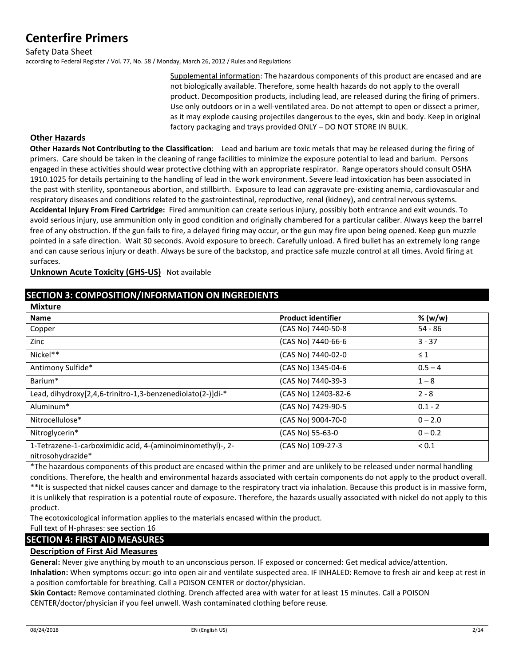Supplemental information: The hazardous components of this product are encased and are not biologically available. Therefore, some health hazards do not apply to the overall product. Decomposition products, including lead, are released during the firing of primers. Use only outdoors or in a well-ventilated area. Do not attempt to open or dissect a primer, as it may explode causing projectiles dangerous to the eyes, skin and body. Keep in original factory packaging and trays provided ONLY – DO NOT STORE IN BULK.

### **Other Hazards**

**Other Hazards Not Contributing to the Classification**: Lead and barium are toxic metals that may be released during the firing of primers. Care should be taken in the cleaning of range facilities to minimize the exposure potential to lead and barium. Persons engaged in these activities should wear protective clothing with an appropriate respirator. Range operators should consult OSHA 1910.1025 for details pertaining to the handling of lead in the work environment. Severe lead intoxication has been associated in the past with sterility, spontaneous abortion, and stillbirth. Exposure to lead can aggravate pre-existing anemia, cardiovascular and respiratory diseases and conditions related to the gastrointestinal, reproductive, renal (kidney), and central nervous systems. **Accidental Injury From Fired Cartridge:** Fired ammunition can create serious injury, possibly both entrance and exit wounds. To avoid serious injury, use ammunition only in good condition and originally chambered for a particular caliber. Always keep the barrel free of any obstruction. If the gun fails to fire, a delayed firing may occur, or the gun may fire upon being opened. Keep gun muzzle pointed in a safe direction. Wait 30 seconds. Avoid exposure to breech. Carefully unload. A fired bullet has an extremely long range and can cause serious injury or death. Always be sure of the backstop, and practice safe muzzle control at all times. Avoid firing at surfaces.

**Unknown Acute Toxicity (GHS-US)** Not available

## **SECTION 3: COMPOSITION/INFORMATION ON INGREDIENTS**

| <b>Mixture</b>                                                                  |                           |            |
|---------------------------------------------------------------------------------|---------------------------|------------|
| <b>Name</b>                                                                     | <b>Product identifier</b> | % (w/w)    |
| Copper                                                                          | (CAS No) 7440-50-8        | $54 - 86$  |
| Zinc                                                                            | (CAS No) 7440-66-6        | $3 - 37$   |
| Nickel**                                                                        | (CAS No) 7440-02-0        | $\leq 1$   |
| Antimony Sulfide*                                                               | (CAS No) 1345-04-6        | $0.5 - 4$  |
| Barium*                                                                         | (CAS No) 7440-39-3        | $1 - 8$    |
| Lead, dihydroxy[2,4,6-trinitro-1,3-benzenediolato(2-)]di-*                      | (CAS No) 12403-82-6       | $2 - 8$    |
| Aluminum*                                                                       | (CAS No) 7429-90-5        | $0.1 - 2$  |
| Nitrocellulose*                                                                 | (CAS No) 9004-70-0        | $0 - 2.0$  |
| Nitroglycerin*                                                                  | (CAS No) 55-63-0          | $0 - 0.2$  |
| 1-Tetrazene-1-carboximidic acid, 4-(aminoiminomethyl)-, 2-<br>nitrosohydrazide* | (CAS No) 109-27-3         | ${}_{0.1}$ |

\*The hazardous components of this product are encased within the primer and are unlikely to be released under normal handling conditions. Therefore, the health and environmental hazards associated with certain components do not apply to the product overall. \*\*It is suspected that nickel causes cancer and damage to the respiratory tract via inhalation. Because this product is in massive form, it is unlikely that respiration is a potential route of exposure. Therefore, the hazards usually associated with nickel do not apply to this product.

The ecotoxicological information applies to the materials encased within the product.

Full text of H-phrases: see section 16

## **SECTION 4: FIRST AID MEASURES**

## **Description of First Aid Measures**

**General:** Never give anything by mouth to an unconscious person. IF exposed or concerned: Get medical advice/attention.

**Inhalation:** When symptoms occur: go into open air and ventilate suspected area. IF INHALED: Remove to fresh air and keep at rest in a position comfortable for breathing. Call a POISON CENTER or doctor/physician.

**Skin Contact:** Remove contaminated clothing. Drench affected area with water for at least 15 minutes. Call a POISON CENTER/doctor/physician if you feel unwell. Wash contaminated clothing before reuse.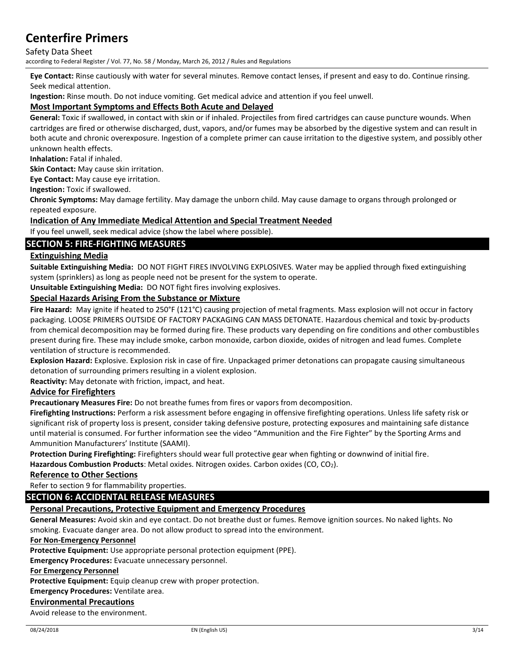### Safety Data Sheet

according to Federal Register / Vol. 77, No. 58 / Monday, March 26, 2012 / Rules and Regulations

**Eye Contact:** Rinse cautiously with water for several minutes. Remove contact lenses, if present and easy to do. Continue rinsing. Seek medical attention.

**Ingestion:** Rinse mouth. Do not induce vomiting. Get medical advice and attention if you feel unwell.

### **Most Important Symptoms and Effects Both Acute and Delayed**

**General:** Toxic if swallowed, in contact with skin or if inhaled. Projectiles from fired cartridges can cause puncture wounds. When cartridges are fired or otherwise discharged, dust, vapors, and/or fumes may be absorbed by the digestive system and can result in both acute and chronic overexposure. Ingestion of a complete primer can cause irritation to the digestive system, and possibly other unknown health effects.

**Inhalation:** Fatal if inhaled.

**Skin Contact:** May cause skin irritation.

**Eye Contact:** May cause eye irritation.

**Ingestion:** Toxic if swallowed.

**Chronic Symptoms:** May damage fertility. May damage the unborn child. May cause damage to organs through prolonged or repeated exposure.

### **Indication of Any Immediate Medical Attention and Special Treatment Needed**

If you feel unwell, seek medical advice (show the label where possible).

### **SECTION 5: FIRE-FIGHTING MEASURES**

### **Extinguishing Media**

**Suitable Extinguishing Media:** DO NOT FIGHT FIRES INVOLVING EXPLOSIVES. Water may be applied through fixed extinguishing system (sprinklers) as long as people need not be present for the system to operate.

**Unsuitable Extinguishing Media:** DO NOT fight fires involving explosives.

### **Special Hazards Arising From the Substance or Mixture**

**Fire Hazard:** May ignite if heated to 250°F (121°C) causing projection of metal fragments. Mass explosion will not occur in factory packaging. LOOSE PRIMERS OUTSIDE OF FACTORY PACKAGING CAN MASS DETONATE. Hazardous chemical and toxic by-products from chemical decomposition may be formed during fire. These products vary depending on fire conditions and other combustibles present during fire. These may include smoke, carbon monoxide, carbon dioxide, oxides of nitrogen and lead fumes. Complete ventilation of structure is recommended.

**Explosion Hazard:** Explosive. Explosion risk in case of fire. Unpackaged primer detonations can propagate causing simultaneous detonation of surrounding primers resulting in a violent explosion.

**Reactivity:** May detonate with friction, impact, and heat.

### **Advice for Firefighters**

**Precautionary Measures Fire:** Do not breathe fumes from fires or vapors from decomposition.

**Firefighting Instructions:** Perform a risk assessment before engaging in offensive firefighting operations. Unless life safety risk or significant risk of property loss is present, consider taking defensive posture, protecting exposures and maintaining safe distance until material is consumed. For further information see the video "Ammunition and the Fire Fighter" by the Sporting Arms and Ammunition Manufacturers' Institute (SAAMI).

**Protection During Firefighting:** Firefighters should wear full protective gear when fighting or downwind of initial fire.

**Hazardous Combustion Products**: Metal oxides. Nitrogen oxides. Carbon oxides (CO, CO2).

### **Reference to Other Sections**

Refer to section 9 for flammability properties.

## **SECTION 6: ACCIDENTAL RELEASE MEASURES**

### **Personal Precautions, Protective Equipment and Emergency Procedures**

**General Measures:** Avoid skin and eye contact. Do not breathe dust or fumes. Remove ignition sources. No naked lights. No smoking. Evacuate danger area. Do not allow product to spread into the environment.

#### **For Non-Emergency Personnel**

**Protective Equipment:** Use appropriate personal protection equipment (PPE).

**Emergency Procedures:** Evacuate unnecessary personnel.

#### **For Emergency Personnel**

Protective Equipment: Equip cleanup crew with proper protection.

**Emergency Procedures:** Ventilate area.

### **Environmental Precautions**

Avoid release to the environment.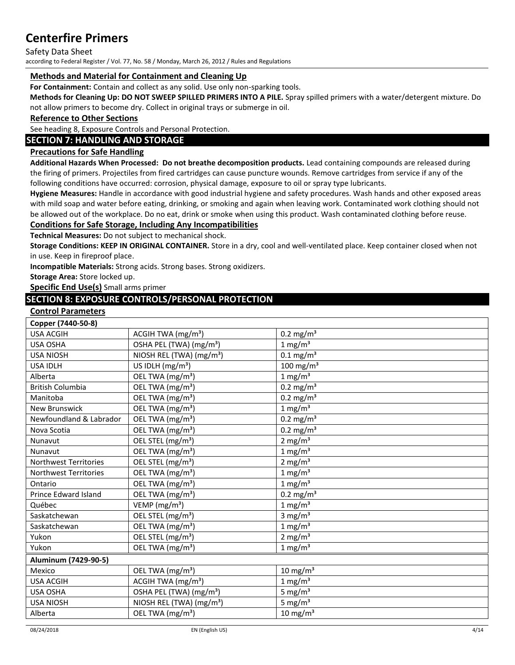#### Safety Data Sheet

according to Federal Register / Vol. 77, No. 58 / Monday, March 26, 2012 / Rules and Regulations

### **Methods and Material for Containment and Cleaning Up**

**For Containment:** Contain and collect as any solid. Use only non-sparking tools.

**Methods for Cleaning Up: DO NOT SWEEP SPILLED PRIMERS INTO A PILE.** Spray spilled primers with a water/detergent mixture. Do not allow primers to become dry. Collect in original trays or submerge in oil.

### **Reference to Other Sections**

See heading 8, Exposure Controls and Personal Protection.

### **SECTION 7: HANDLING AND STORAGE**

### **Precautions for Safe Handling**

**Additional Hazards When Processed: Do not breathe decomposition products.** Lead containing compounds are released during the firing of primers. Projectiles from fired cartridges can cause puncture wounds. Remove cartridges from service if any of the following conditions have occurred: corrosion, physical damage, exposure to oil or spray type lubricants.

**Hygiene Measures:** Handle in accordance with good industrial hygiene and safety procedures. Wash hands and other exposed areas with mild soap and water before eating, drinking, or smoking and again when leaving work. Contaminated work clothing should not be allowed out of the workplace. Do no eat, drink or smoke when using this product. Wash contaminated clothing before reuse.

### **Conditions for Safe Storage, Including Any Incompatibilities**

**Technical Measures:** Do not subject to mechanical shock.

**Storage Conditions: KEEP IN ORIGINAL CONTAINER.** Store in a dry, cool and well-ventilated place. Keep container closed when not in use. Keep in fireproof place.

**Incompatible Materials:** Strong acids. Strong bases. Strong oxidizers.

**Storage Area:** Store locked up.

**Specific End Use(s)** Small arms primer

### **SECTION 8: EXPOSURE CONTROLS/PERSONAL PROTECTION**

#### **Control Parameters**

| Copper (7440-50-8)           |                                      |                         |
|------------------------------|--------------------------------------|-------------------------|
| <b>USA ACGIH</b>             | ACGIH TWA $(mg/m3)$                  | $0.2$ mg/m <sup>3</sup> |
| USA OSHA                     | OSHA PEL (TWA) (mg/m <sup>3</sup> )  | 1 mg/m <sup>3</sup>     |
| <b>USA NIOSH</b>             | NIOSH REL (TWA) (mg/m <sup>3</sup> ) | $0.1 \text{ mg/m}^3$    |
| <b>USA IDLH</b>              | US IDLH $(mg/m3)$                    | 100 mg/m $3$            |
| Alberta                      | OEL TWA (mg/m <sup>3</sup> )         | 1 mg/m <sup>3</sup>     |
| <b>British Columbia</b>      | OEL TWA (mg/m <sup>3</sup> )         | $0.2$ mg/m <sup>3</sup> |
| Manitoba                     | OEL TWA (mg/m <sup>3</sup> )         | $0.2 \text{ mg/m}^3$    |
| <b>New Brunswick</b>         | OEL TWA (mg/m <sup>3</sup> )         | 1 mg/m <sup>3</sup>     |
| Newfoundland & Labrador      | OEL TWA (mg/m <sup>3</sup> )         | $0.2$ mg/m <sup>3</sup> |
| Nova Scotia                  | OEL TWA (mg/m <sup>3</sup> )         | $0.2$ mg/m <sup>3</sup> |
| Nunavut                      | OEL STEL (mg/m <sup>3</sup> )        | $2 \text{ mg/m}^3$      |
| Nunavut                      | OEL TWA (mg/m <sup>3</sup> )         | $1 \text{ mg/m}^3$      |
| <b>Northwest Territories</b> | OEL STEL (mg/m <sup>3</sup> )        | $2$ mg/m <sup>3</sup>   |
| Northwest Territories        | OEL TWA (mg/m <sup>3</sup> )         | $1 \text{ mg/m}^3$      |
| Ontario                      | OEL TWA (mg/m <sup>3</sup> )         | 1 mg/m <sup>3</sup>     |
| <b>Prince Edward Island</b>  | OEL TWA (mg/m <sup>3</sup> )         | $0.2$ mg/m <sup>3</sup> |
| Québec                       | VEMP ( $mg/m3$ )                     | 1 mg/m <sup>3</sup>     |
| Saskatchewan                 | OEL STEL (mg/m <sup>3</sup> )        | 3 mg/ $m3$              |
| Saskatchewan                 | OEL TWA (mg/m <sup>3</sup> )         | 1 mg/m <sup>3</sup>     |
| Yukon                        | OEL STEL (mg/m <sup>3</sup> )        | $2$ mg/m <sup>3</sup>   |
| Yukon                        | OEL TWA (mg/m <sup>3</sup> )         | $1 \text{ mg/m}^3$      |
| Aluminum (7429-90-5)         |                                      |                         |
| Mexico                       | OEL TWA (mg/m <sup>3</sup> )         | $10 \text{ mg/m}^3$     |
| <b>USA ACGIH</b>             | ACGIH TWA (mg/m <sup>3</sup> )       | $1 \text{ mg/m}^3$      |
| <b>USA OSHA</b>              | OSHA PEL (TWA) (mg/m <sup>3</sup> )  | 5 mg/ $m3$              |
| <b>USA NIOSH</b>             | NIOSH REL (TWA) (mg/m <sup>3</sup> ) | 5 mg/ $m3$              |
| Alberta                      | OEL TWA (mg/m <sup>3</sup> )         | $10 \text{ mg/m}^3$     |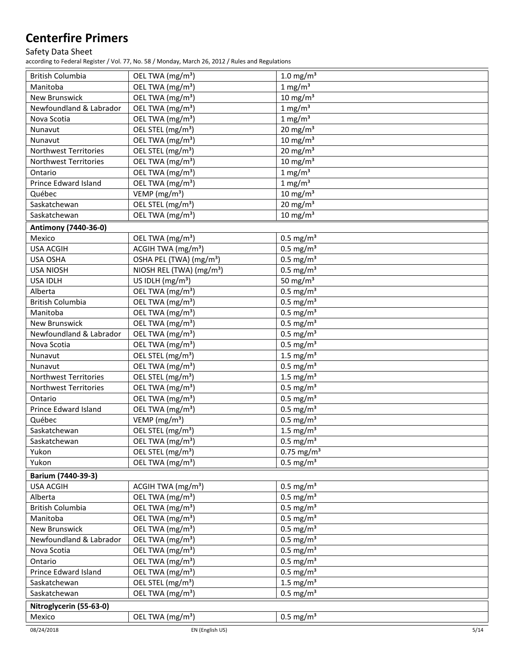### Safety Data Sheet

according to Federal Register / Vol. 77, No. 58 / Monday, March 26, 2012 / Rules and Regulations

| <b>British Columbia</b> | OEL TWA (mg/m <sup>3</sup> )                 | $1.0$ mg/m <sup>3</sup>  |
|-------------------------|----------------------------------------------|--------------------------|
| Manitoba                | OEL TWA (mg/m <sup>3</sup> )                 | $1 \text{ mg/m}^3$       |
| <b>New Brunswick</b>    | OEL TWA (mg/m <sup>3</sup> )                 | $10 \text{ mg/m}^3$      |
| Newfoundland & Labrador | OEL TWA (mg/m <sup>3</sup> )                 | $1$ mg/m <sup>3</sup>    |
| Nova Scotia             | OEL TWA (mg/m <sup>3</sup> )                 | $1 \text{ mg/m}^3$       |
| Nunavut                 | OEL STEL (mg/m <sup>3</sup> )                | $20 \text{ mg/m}^3$      |
| Nunavut                 | OEL TWA (mg/m <sup>3</sup> )                 | $10 \text{ mg/m}^3$      |
| Northwest Territories   | OEL STEL (mg/m <sup>3</sup> )                | $20 \text{ mg/m}^3$      |
| Northwest Territories   | OEL TWA (mg/m <sup>3</sup> )                 | $10 \text{ mg/m}^3$      |
| Ontario                 | OEL TWA (mg/m <sup>3</sup> )                 | $1 \text{ mg/m}^3$       |
| Prince Edward Island    | OEL TWA (mg/m <sup>3</sup> )                 | $1 \text{ mg/m}^3$       |
| Québec                  | VEMP (mg/m <sup>3</sup> )                    | $10 \text{ mg/m}^3$      |
| Saskatchewan            | OEL STEL (mg/m <sup>3</sup> )                | $20 \text{ mg/m}^3$      |
| Saskatchewan            | OEL TWA (mg/m <sup>3</sup> )                 | $10 \text{ mg/m}^3$      |
| Antimony (7440-36-0)    |                                              |                          |
| Mexico                  | OEL TWA (mg/m <sup>3</sup> )                 | $0.5 \text{ mg/m}^3$     |
| <b>USA ACGIH</b>        | $\overline{ACG}$ IH TWA (mg/m <sup>3</sup> ) | $0.5$ mg/m <sup>3</sup>  |
| USA OSHA                | OSHA PEL (TWA) (mg/m <sup>3</sup> )          | $0.5$ mg/m <sup>3</sup>  |
| <b>USA NIOSH</b>        | NIOSH REL (TWA) (mg/m <sup>3</sup> )         | $0.5$ mg/m <sup>3</sup>  |
| <b>USA IDLH</b>         | US IDLH (mg/m <sup>3</sup> )                 | 50 mg/ $m3$              |
| Alberta                 | OEL TWA (mg/m <sup>3</sup> )                 | $0.5 \text{ mg/m}^3$     |
| <b>British Columbia</b> | OEL TWA (mg/m <sup>3</sup> )                 | $0.5$ mg/m <sup>3</sup>  |
| Manitoba                | OEL TWA (mg/m <sup>3</sup> )                 | $0.5$ mg/m <sup>3</sup>  |
| <b>New Brunswick</b>    | OEL TWA (mg/m <sup>3</sup> )                 | $0.5$ mg/m <sup>3</sup>  |
| Newfoundland & Labrador | OEL TWA (mg/m <sup>3</sup> )                 | $0.5 \text{ mg/m}^3$     |
| Nova Scotia             | OEL TWA (mg/m <sup>3</sup> )                 | $0.5$ mg/m <sup>3</sup>  |
| Nunavut                 | OEL STEL (mg/m <sup>3</sup> )                | 1.5 mg/ $m3$             |
| Nunavut                 | OEL TWA (mg/m <sup>3</sup> )                 | $0.5$ mg/m <sup>3</sup>  |
| Northwest Territories   | OEL STEL (mg/m <sup>3</sup> )                | 1.5 mg/ $m3$             |
| Northwest Territories   | OEL TWA (mg/m <sup>3</sup> )                 | $0.5$ mg/m <sup>3</sup>  |
| Ontario                 | OEL TWA (mg/m <sup>3</sup> )                 | $0.5$ mg/m <sup>3</sup>  |
| Prince Edward Island    | OEL TWA (mg/m <sup>3</sup> )                 | $0.5$ mg/m <sup>3</sup>  |
| Québec                  | VEMP (mg/m <sup>3</sup> )                    | $0.5$ mg/m <sup>3</sup>  |
| Saskatchewan            | OEL STEL (mg/m <sup>3</sup> )                | 1.5 mg/ $m3$             |
| Saskatchewan            | OEL TWA (mg/m <sup>3</sup> )                 | $0.5 \text{ mg/m}^3$     |
| Yukon                   | OEL STEL (mg/m <sup>3</sup> )                | $0.75$ mg/m <sup>3</sup> |
| Yukon                   | OEL TWA (mg/m <sup>3</sup> )                 | $0.5$ mg/m <sup>3</sup>  |
|                         |                                              |                          |
| Barium (7440-39-3)      |                                              |                          |
| <b>USA ACGIH</b>        | ACGIH TWA (mg/m <sup>3</sup> )               | $0.5$ mg/m <sup>3</sup>  |
| Alberta                 | OEL TWA (mg/m <sup>3</sup> )                 | $0.5$ mg/m <sup>3</sup>  |
| <b>British Columbia</b> | OEL TWA (mg/m <sup>3</sup> )                 | $0.5$ mg/m <sup>3</sup>  |
| Manitoba                | OEL TWA (mg/m <sup>3</sup> )                 | $0.5$ mg/m <sup>3</sup>  |
| New Brunswick           | OEL TWA (mg/m <sup>3</sup> )                 | $0.5$ mg/m <sup>3</sup>  |
| Newfoundland & Labrador | OEL TWA (mg/m <sup>3</sup> )                 | $0.5$ mg/m <sup>3</sup>  |
| Nova Scotia             | OEL TWA (mg/m <sup>3</sup> )                 | $0.5$ mg/m <sup>3</sup>  |
| Ontario                 | OEL TWA (mg/m <sup>3</sup> )                 | $0.5$ mg/m <sup>3</sup>  |
| Prince Edward Island    | OEL TWA (mg/m <sup>3</sup> )                 | $0.5$ mg/m <sup>3</sup>  |
| Saskatchewan            | OEL STEL (mg/m <sup>3</sup> )                | 1.5 mg/ $m3$             |
| Saskatchewan            | OEL TWA (mg/m <sup>3</sup> )                 | $0.5 \text{ mg/m}^3$     |
| Nitroglycerin (55-63-0) |                                              |                          |
| Mexico                  | OEL TWA (mg/m <sup>3</sup> )                 | $0.5 \text{ mg/m}^3$     |
| 08/24/2018              | EN (English US)                              | 5/14                     |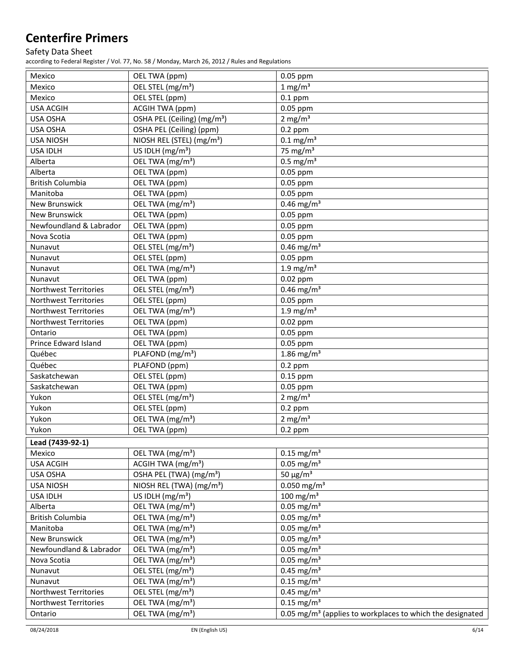## Safety Data Sheet

according to Federal Register / Vol. 77, No. 58 / Monday, March 26, 2012 / Rules and Regulations

| Mexico                     | OEL TWA (ppm)                                                  | 0.05 ppm                                                              |
|----------------------------|----------------------------------------------------------------|-----------------------------------------------------------------------|
| Mexico                     | OEL STEL (mg/m <sup>3</sup> )                                  | $1 \text{ mg/m}^3$                                                    |
| Mexico                     | OEL STEL (ppm)                                                 | $0.1$ ppm                                                             |
| <b>USA ACGIH</b>           | ACGIH TWA (ppm)                                                | 0.05 ppm                                                              |
| USA OSHA                   | OSHA PEL (Ceiling) (mg/m <sup>3</sup> )                        | 2 mg/ $m3$                                                            |
| USA OSHA                   | OSHA PEL (Ceiling) (ppm)                                       | $0.2$ ppm                                                             |
| <b>USA NIOSH</b>           | NIOSH REL (STEL) (mg/m <sup>3</sup> )                          | $0.1 \text{ mg/m}^3$                                                  |
| <b>USA IDLH</b>            | US IDLH $(mg/m3)$                                              | 75 mg/ $m3$                                                           |
| Alberta                    | OEL TWA (mg/m <sup>3</sup> )                                   | $\overline{0.5}$ mg/m <sup>3</sup>                                    |
| Alberta                    | OEL TWA (ppm)                                                  | 0.05 ppm                                                              |
| <b>British Columbia</b>    | OEL TWA (ppm)                                                  | 0.05 ppm                                                              |
| Manitoba                   | OEL TWA (ppm)                                                  | 0.05 ppm                                                              |
| New Brunswick              | OEL TWA (mg/m <sup>3</sup> )                                   | $0.46$ mg/m <sup>3</sup>                                              |
| <b>New Brunswick</b>       | OEL TWA (ppm)                                                  | 0.05 ppm                                                              |
| Newfoundland & Labrador    | OEL TWA (ppm)                                                  | 0.05 ppm                                                              |
| Nova Scotia                | OEL TWA (ppm)                                                  | 0.05 ppm                                                              |
| Nunavut                    | OEL STEL (mg/m <sup>3</sup> )                                  | $0.46$ mg/m <sup>3</sup>                                              |
| Nunavut                    | OEL STEL (ppm)                                                 | 0.05 ppm                                                              |
| Nunavut                    | OEL TWA (mg/m <sup>3</sup> )                                   | 1.9 mg/ $m3$                                                          |
| Nunavut                    | OEL TWA (ppm)                                                  | $0.02$ ppm                                                            |
| Northwest Territories      | OEL STEL (mg/m <sup>3</sup> )                                  | $0.46$ mg/m <sup>3</sup>                                              |
| Northwest Territories      | OEL STEL (ppm)                                                 | $0.05$ ppm                                                            |
| Northwest Territories      | OEL TWA (mg/m <sup>3</sup> )                                   | $1.9 \text{ mg/m}^3$                                                  |
| Northwest Territories      | OEL TWA (ppm)                                                  | $0.02$ ppm                                                            |
| Ontario                    | OEL TWA (ppm)                                                  | 0.05 ppm                                                              |
| Prince Edward Island       | OEL TWA (ppm)                                                  | 0.05 ppm                                                              |
| Québec                     | PLAFOND (mg/m <sup>3</sup> )                                   | 1.86 mg/m <sup>3</sup>                                                |
| Québec                     | PLAFOND (ppm)                                                  | $0.2$ ppm                                                             |
| Saskatchewan               | OEL STEL (ppm)                                                 | $0.15$ ppm                                                            |
| Saskatchewan               | OEL TWA (ppm)                                                  | $0.05$ ppm                                                            |
| Yukon                      | OEL STEL (mg/m <sup>3</sup> )                                  | 2 mg/ $m3$                                                            |
| Yukon                      | OEL STEL (ppm)                                                 | $0.2$ ppm                                                             |
| Yukon                      | OEL TWA (mg/m <sup>3</sup> )                                   | 2 mg/ $m3$                                                            |
| Yukon                      | OEL TWA (ppm)                                                  | $0.2$ ppm                                                             |
|                            |                                                                |                                                                       |
| Lead (7439-92-1)           |                                                                |                                                                       |
| Mexico<br><b>USA ACGIH</b> | OEL TWA (mg/m <sup>3</sup> )<br>ACGIH TWA (mg/m <sup>3</sup> ) | $0.15$ mg/m <sup>3</sup><br>$0.05$ mg/m <sup>3</sup>                  |
| USA OSHA                   | OSHA PEL (TWA) (mg/m <sup>3</sup> )                            | 50 $\mu$ g/m <sup>3</sup>                                             |
| <b>USA NIOSH</b>           | NIOSH REL (TWA) (mg/m <sup>3</sup> )                           | $0.050$ mg/m <sup>3</sup>                                             |
| <b>USA IDLH</b>            | US IDLH $(mg/m3)$                                              | $100$ mg/m <sup>3</sup>                                               |
| Alberta                    | OEL TWA (mg/m <sup>3</sup> )                                   | $0.05$ mg/m <sup>3</sup>                                              |
| <b>British Columbia</b>    | OEL TWA (mg/m <sup>3</sup> )                                   | $0.05$ mg/m <sup>3</sup>                                              |
| Manitoba                   | OEL TWA (mg/m <sup>3</sup> )                                   | $0.05$ mg/m <sup>3</sup>                                              |
| New Brunswick              | OEL TWA (mg/m <sup>3</sup> )                                   | $0.05$ mg/m <sup>3</sup>                                              |
|                            |                                                                |                                                                       |
| Newfoundland & Labrador    | OEL TWA (mg/m <sup>3</sup> )                                   | $0.05$ mg/m <sup>3</sup>                                              |
| Nova Scotia                | OEL TWA (mg/m <sup>3</sup> )                                   | $0.05$ mg/m <sup>3</sup><br>$0.45$ mg/m <sup>3</sup>                  |
| Nunavut                    | OEL STEL (mg/m <sup>3</sup> )                                  | $0.15$ mg/m <sup>3</sup>                                              |
| Nunavut                    | OEL TWA (mg/m <sup>3</sup> )                                   |                                                                       |
| Northwest Territories      | OEL STEL (mg/m <sup>3</sup> )                                  | $0.45$ mg/m <sup>3</sup>                                              |
| Northwest Territories      | OEL TWA (mg/m <sup>3</sup> )                                   | $0.15$ mg/m <sup>3</sup>                                              |
| Ontario                    | OEL TWA (mg/m <sup>3</sup> )                                   | 0.05 mg/m <sup>3</sup> (applies to workplaces to which the designated |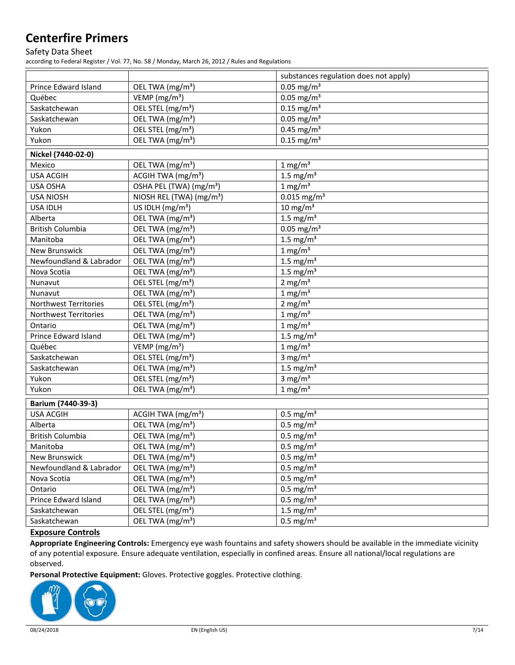### Safety Data Sheet

according to Federal Register / Vol. 77, No. 58 / Monday, March 26, 2012 / Rules and Regulations

|                         |                                      | substances regulation does not apply) |
|-------------------------|--------------------------------------|---------------------------------------|
| Prince Edward Island    | OEL TWA (mg/m <sup>3</sup> )         | $0.05$ mg/m <sup>3</sup>              |
| Québec                  | VEMP (mg/m <sup>3</sup> )            | $0.05$ mg/m <sup>3</sup>              |
| Saskatchewan            | OEL STEL (mg/m <sup>3</sup> )        | $0.15$ mg/m <sup>3</sup>              |
| Saskatchewan            | OEL TWA (mg/m <sup>3</sup> )         | $0.05$ mg/m <sup>3</sup>              |
| Yukon                   | OEL STEL (mg/m <sup>3</sup> )        | $0.45$ mg/m <sup>3</sup>              |
| Yukon                   | OEL TWA (mg/m <sup>3</sup> )         | $0.15$ mg/m <sup>3</sup>              |
| Nickel (7440-02-0)      |                                      |                                       |
| Mexico                  | OEL TWA (mg/m <sup>3</sup> )         | $1 \text{ mg/m}^3$                    |
| <b>USA ACGIH</b>        | ACGIH TWA (mg/m <sup>3</sup> )       | 1.5 mg/ $m3$                          |
| USA OSHA                | OSHA PEL (TWA) (mg/m <sup>3</sup> )  | $1 \text{ mg/m}^3$                    |
| <b>USA NIOSH</b>        | NIOSH REL (TWA) (mg/m <sup>3</sup> ) | $0.015$ mg/m <sup>3</sup>             |
| <b>USA IDLH</b>         | US IDLH (mg/m <sup>3</sup> )         | $10 \text{ mg/m}^3$                   |
| Alberta                 | OEL TWA (mg/m <sup>3</sup> )         | 1.5 mg/ $m3$                          |
| <b>British Columbia</b> | OEL TWA (mg/m <sup>3</sup> )         | $0.05$ mg/m <sup>3</sup>              |
| Manitoba                | OEL TWA (mg/m <sup>3</sup> )         | 1.5 mg/ $m3$                          |
| New Brunswick           | OEL TWA (mg/m <sup>3</sup> )         | 1 mg/m $\frac{3}{3}$                  |
| Newfoundland & Labrador | OEL TWA (mg/m <sup>3</sup> )         | 1.5 mg/ $m3$                          |
| Nova Scotia             | OEL TWA (mg/m <sup>3</sup> )         | 1.5 mg/ $m3$                          |
| Nunavut                 | OEL STEL (mg/m <sup>3</sup> )        | 2 mg/ $m3$                            |
| Nunavut                 | OEL TWA (mg/m <sup>3</sup> )         | $1 \text{ mg/m}^3$                    |
| Northwest Territories   | OEL STEL (mg/m <sup>3</sup> )        | 2 mg/ $m3$                            |
| Northwest Territories   | OEL TWA (mg/m <sup>3</sup> )         | $1$ mg/m <sup>3</sup>                 |
| Ontario                 | OEL TWA (mg/m <sup>3</sup> )         | $1 \text{ mg/m}^3$                    |
| Prince Edward Island    | OEL TWA (mg/m <sup>3</sup> )         | 1.5 mg/ $m3$                          |
| Québec                  | VEMP (mg/m <sup>3</sup> )            | $1 \text{ mg/m}^3$                    |
| Saskatchewan            | OEL STEL (mg/m <sup>3</sup> )        | 3 mg/ $m3$                            |
| Saskatchewan            | OEL TWA (mg/m <sup>3</sup> )         | 1.5 mg/ $m3$                          |
| Yukon                   | OEL STEL (mg/m <sup>3</sup> )        | 3 mg/ $m3$                            |
| Yukon                   | OEL TWA (mg/m <sup>3</sup> )         | $1 \text{ mg/m}^3$                    |
| Barium (7440-39-3)      |                                      |                                       |
| <b>USA ACGIH</b>        | ACGIH TWA (mg/m <sup>3</sup> )       | $0.5$ mg/m <sup>3</sup>               |
| Alberta                 | OEL TWA (mg/m <sup>3</sup> )         | $0.5$ mg/m <sup>3</sup>               |
| <b>British Columbia</b> | OEL TWA (mg/m <sup>3</sup> )         | $0.5$ mg/m <sup>3</sup>               |
| Manitoba                | OEL TWA (mg/m <sup>3</sup> )         | $\overline{0.5}$ mg/m <sup>3</sup>    |
| New Brunswick           | OEL TWA (mg/m <sup>3</sup> )         | $0.5$ mg/m <sup>3</sup>               |
| Newfoundland & Labrador | OEL TWA (mg/m <sup>3</sup> )         | $0.5$ mg/m <sup>3</sup>               |
| Nova Scotia             | OEL TWA (mg/m <sup>3</sup> )         | $0.5$ mg/m <sup>3</sup>               |
| Ontario                 | OEL TWA (mg/m <sup>3</sup> )         | $0.5 \text{ mg/m}^3$                  |
| Prince Edward Island    | OEL TWA (mg/m <sup>3</sup> )         | $0.5 \text{ mg/m}^3$                  |
| Saskatchewan            | OEL STEL (mg/m <sup>3</sup> )        | 1.5 mg/ $m3$                          |
| Saskatchewan            | OEL TWA (mg/m <sup>3</sup> )         | $0.5 \text{ mg/m}^3$                  |

### **Exposure Controls**

**Appropriate Engineering Controls:** Emergency eye wash fountains and safety showers should be available in the immediate vicinity of any potential exposure. Ensure adequate ventilation, especially in confined areas. Ensure all national/local regulations are observed.

**Personal Protective Equipment:** Gloves. Protective goggles. Protective clothing.

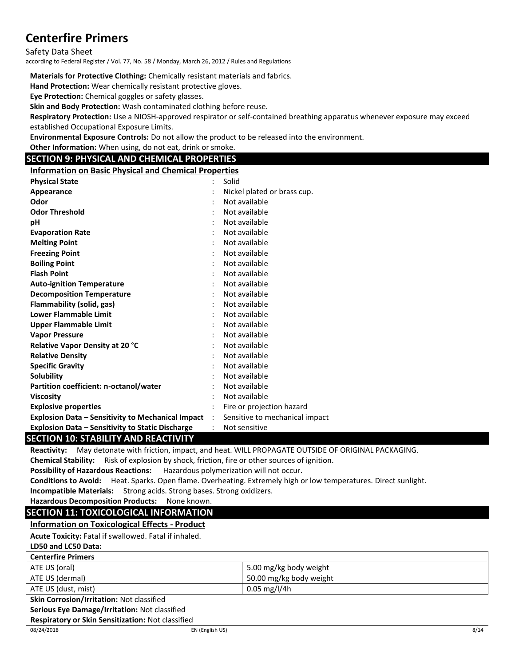Safety Data Sheet

according to Federal Register / Vol. 77, No. 58 / Monday, March 26, 2012 / Rules and Regulations

**Materials for Protective Clothing:** Chemically resistant materials and fabrics.

**Hand Protection:** Wear chemically resistant protective gloves.

**Eye Protection:** Chemical goggles or safety glasses.

**Skin and Body Protection:** Wash contaminated clothing before reuse.

**Respiratory Protection:** Use a NIOSH-approved respirator or self-contained breathing apparatus whenever exposure may exceed established Occupational Exposure Limits.

**Environmental Exposure Controls:** Do not allow the product to be released into the environment.

**Other Information:** When using, do not eat, drink or smoke.

## **SECTION 9: PHYSICAL AND CHEMICAL PROPERTIES**

**Information on Basic Physical and Chemical Properties**

| <b>Physical State</b>                                    | $\ddot{\cdot}$       | Solid                          |
|----------------------------------------------------------|----------------------|--------------------------------|
| Appearance                                               |                      | Nickel plated or brass cup.    |
| Odor                                                     |                      | Not available                  |
| <b>Odor Threshold</b>                                    |                      | Not available                  |
| рH                                                       |                      | Not available                  |
| <b>Evaporation Rate</b>                                  |                      | Not available                  |
| <b>Melting Point</b>                                     |                      | Not available                  |
| <b>Freezing Point</b>                                    |                      | Not available                  |
| <b>Boiling Point</b>                                     |                      | Not available                  |
| <b>Flash Point</b>                                       |                      | Not available                  |
| <b>Auto-ignition Temperature</b>                         |                      | Not available                  |
| <b>Decomposition Temperature</b>                         |                      | Not available                  |
| Flammability (solid, gas)                                |                      | Not available                  |
| <b>Lower Flammable Limit</b>                             |                      | Not available                  |
| <b>Upper Flammable Limit</b>                             |                      | Not available                  |
| <b>Vapor Pressure</b>                                    |                      | Not available                  |
| Relative Vapor Density at 20 °C                          |                      | Not available                  |
| <b>Relative Density</b>                                  |                      | Not available                  |
| <b>Specific Gravity</b>                                  |                      | Not available                  |
| <b>Solubility</b>                                        |                      | Not available                  |
| Partition coefficient: n-octanol/water                   |                      | Not available                  |
| <b>Viscosity</b>                                         |                      | Not available                  |
| <b>Explosive properties</b>                              |                      | Fire or projection hazard      |
| <b>Explosion Data – Sensitivity to Mechanical Impact</b> | $\ddot{\phantom{a}}$ | Sensitive to mechanical impact |
| <b>Explosion Data - Sensitivity to Static Discharge</b>  |                      | Not sensitive                  |

## **SECTION 10: STABILITY AND REACTIVITY**

**Reactivity:** May detonate with friction, impact, and heat. WILL PROPAGATE OUTSIDE OF ORIGINAL PACKAGING.

**Chemical Stability:** Risk of explosion by shock, friction, fire or other sources of ignition.

**Possibility of Hazardous Reactions:** Hazardous polymerization will not occur.

**Conditions to Avoid:** Heat. Sparks. Open flame. Overheating. Extremely high or low temperatures. Direct sunlight. **Incompatible Materials:** Strong acids. Strong bases. Strong oxidizers.

## **Hazardous Decomposition Products:** None known.

## **SECTION 11: TOXICOLOGICAL INFORMATION**

**Information on Toxicological Effects - Product**

**Acute Toxicity:** Fatal if swallowed. Fatal if inhaled.

#### **LD50 and LC50 Data:**

| <b>Centerfire Primers</b> |                         |
|---------------------------|-------------------------|
| ATE US (oral)             | 5.00 mg/kg body weight  |
| ATE US (dermal)           | 50.00 mg/kg body weight |
| ATE US (dust, mist)       | $0.05$ mg/l/4h          |

**Skin Corrosion/Irritation:** Not classified

**Serious Eye Damage/Irritation:** Not classified

**Respiratory or Skin Sensitization:** Not classified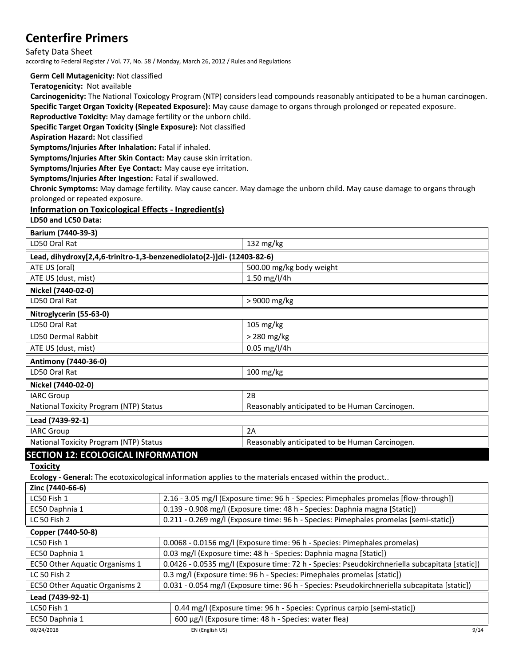Safety Data Sheet according to Federal Register / Vol. 77, No. 58 / Monday, March 26, 2012 / Rules and Regulations

**Germ Cell Mutagenicity:** Not classified

**Teratogenicity:** Not available

**Carcinogenicity:** The National Toxicology Program (NTP) considers lead compounds reasonably anticipated to be a human carcinogen. **Specific Target Organ Toxicity (Repeated Exposure):** May cause damage to organs through prolonged or repeated exposure.

**Reproductive Toxicity:** May damage fertility or the unborn child.

**Specific Target Organ Toxicity (Single Exposure):** Not classified

**Aspiration Hazard:** Not classified

**Symptoms/Injuries After Inhalation:** Fatal if inhaled.

**Symptoms/Injuries After Skin Contact:** May cause skin irritation.

**Symptoms/Injuries After Eye Contact:** May cause eye irritation.

**Symptoms/Injuries After Ingestion:** Fatal if swallowed.

**Chronic Symptoms:** May damage fertility. May cause cancer. May damage the unborn child. May cause damage to organs through prolonged or repeated exposure.

### **Information on Toxicological Effects - Ingredient(s)**

**LD50 and LC50 Data:**

| Barium (7440-39-3)                                                                                      |                                                                                                |                                                                                              |
|---------------------------------------------------------------------------------------------------------|------------------------------------------------------------------------------------------------|----------------------------------------------------------------------------------------------|
| LD50 Oral Rat                                                                                           |                                                                                                | 132 $mg/kg$                                                                                  |
| Lead, dihydroxy[2,4,6-trinitro-1,3-benzenediolato(2-)]di- (12403-82-6)                                  |                                                                                                |                                                                                              |
| ATE US (oral)                                                                                           |                                                                                                | 500.00 mg/kg body weight                                                                     |
| ATE US (dust, mist)                                                                                     |                                                                                                | 1.50 mg/l/4h                                                                                 |
| Nickel (7440-02-0)                                                                                      |                                                                                                |                                                                                              |
| LD50 Oral Rat                                                                                           |                                                                                                | > 9000 mg/kg                                                                                 |
| Nitroglycerin (55-63-0)                                                                                 |                                                                                                |                                                                                              |
| LD50 Oral Rat                                                                                           |                                                                                                | 105 mg/kg                                                                                    |
| LD50 Dermal Rabbit                                                                                      |                                                                                                | > 280 mg/kg                                                                                  |
| ATE US (dust, mist)                                                                                     |                                                                                                | $0.05$ mg/l/4h                                                                               |
| Antimony (7440-36-0)                                                                                    |                                                                                                |                                                                                              |
| LD50 Oral Rat                                                                                           |                                                                                                | $100$ mg/kg                                                                                  |
| Nickel (7440-02-0)                                                                                      |                                                                                                |                                                                                              |
| <b>IARC Group</b>                                                                                       |                                                                                                | 2B                                                                                           |
| National Toxicity Program (NTP) Status                                                                  |                                                                                                | Reasonably anticipated to be Human Carcinogen.                                               |
| Lead (7439-92-1)                                                                                        |                                                                                                |                                                                                              |
| <b>IARC Group</b>                                                                                       |                                                                                                | 2A                                                                                           |
| National Toxicity Program (NTP) Status                                                                  |                                                                                                | Reasonably anticipated to be Human Carcinogen.                                               |
| <b>SECTION 12: ECOLOGICAL INFORMATION</b>                                                               |                                                                                                |                                                                                              |
| <b>Toxicity</b>                                                                                         |                                                                                                |                                                                                              |
| Ecology - General: The ecotoxicological information applies to the materials encased within the product |                                                                                                |                                                                                              |
| Zinc (7440-66-6)                                                                                        |                                                                                                |                                                                                              |
| LC50 Fish 1                                                                                             |                                                                                                | 2.16 - 3.05 mg/l (Exposure time: 96 h - Species: Pimephales promelas [flow-through])         |
| EC50 Daphnia 1                                                                                          | 0.139 - 0.908 mg/l (Exposure time: 48 h - Species: Daphnia magna [Static])                     |                                                                                              |
| LC 50 Fish 2                                                                                            |                                                                                                | 0.211 - 0.269 mg/l (Exposure time: 96 h - Species: Pimephales promelas [semi-static])        |
| Copper (7440-50-8)                                                                                      |                                                                                                |                                                                                              |
| LC50 Fish 1                                                                                             | 0.0068 - 0.0156 mg/l (Exposure time: 96 h - Species: Pimephales promelas)                      |                                                                                              |
| EC50 Daphnia 1                                                                                          | 0.03 mg/l (Exposure time: 48 h - Species: Daphnia magna [Static])                              |                                                                                              |
| EC50 Other Aquatic Organisms 1                                                                          | 0.0426 - 0.0535 mg/l (Exposure time: 72 h - Species: Pseudokirchneriella subcapitata [static]) |                                                                                              |
| LC 50 Fish 2                                                                                            | 0.3 mg/l (Exposure time: 96 h - Species: Pimephales promelas [static])                         |                                                                                              |
| EC50 Other Aquatic Organisms 2                                                                          |                                                                                                | 0.031 - 0.054 mg/l (Exposure time: 96 h - Species: Pseudokirchneriella subcapitata [static]) |
| Lead (7439-92-1)                                                                                        |                                                                                                |                                                                                              |
| LC50 Fish 1                                                                                             |                                                                                                | 0.44 mg/l (Exposure time: 96 h - Species: Cyprinus carpio [semi-static])                     |
| EC50 Daphnia 1                                                                                          |                                                                                                | 600 µg/l (Exposure time: 48 h - Species: water flea)                                         |
| 9/14<br>08/24/2018<br>EN (English US)                                                                   |                                                                                                |                                                                                              |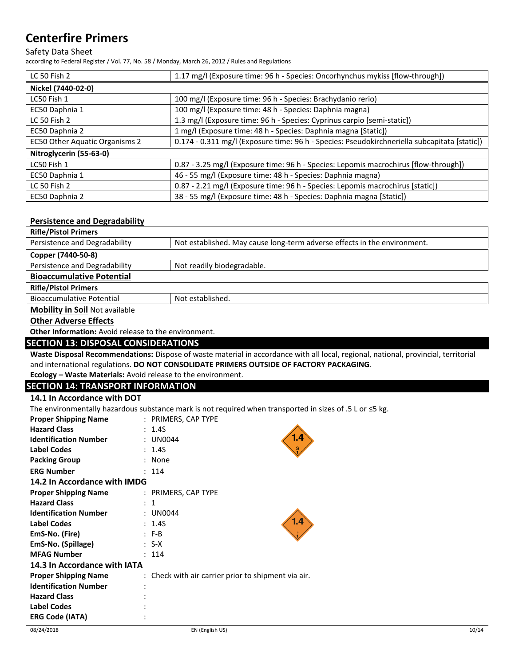### Safety Data Sheet

according to Federal Register / Vol. 77, No. 58 / Monday, March 26, 2012 / Rules and Regulations

| <b>LC 50 Fish 2</b>            | 1.17 mg/l (Exposure time: 96 h - Species: Oncorhynchus mykiss [flow-through])                |
|--------------------------------|----------------------------------------------------------------------------------------------|
| Nickel (7440-02-0)             |                                                                                              |
| LC50 Fish 1                    | 100 mg/l (Exposure time: 96 h - Species: Brachydanio rerio)                                  |
| EC50 Daphnia 1                 | 100 mg/l (Exposure time: 48 h - Species: Daphnia magna)                                      |
| <b>LC 50 Fish 2</b>            | 1.3 mg/l (Exposure time: 96 h - Species: Cyprinus carpio [semi-static])                      |
| EC50 Daphnia 2                 | 1 mg/l (Exposure time: 48 h - Species: Daphnia magna [Static])                               |
| EC50 Other Aquatic Organisms 2 | 0.174 - 0.311 mg/l (Exposure time: 96 h - Species: Pseudokirchneriella subcapitata [static]) |
| Nitroglycerin (55-63-0)        |                                                                                              |
| LC50 Fish 1                    | 0.87 - 3.25 mg/l (Exposure time: 96 h - Species: Lepomis macrochirus [flow-through])         |
| EC50 Daphnia 1                 | 46 - 55 mg/l (Exposure time: 48 h - Species: Daphnia magna)                                  |
| <b>LC 50 Fish 2</b>            | 0.87 - 2.21 mg/l (Exposure time: 96 h - Species: Lepomis macrochirus [static])               |
| EC50 Daphnia 2                 | 38 - 55 mg/l (Exposure time: 48 h - Species: Daphnia magna [Static])                         |

### **Persistence and Degradability**

| <b>Rifle/Pistol Primers</b>           |                                                                          |
|---------------------------------------|--------------------------------------------------------------------------|
| Persistence and Degradability         | Not established. May cause long-term adverse effects in the environment. |
| Copper (7440-50-8)                    |                                                                          |
| Persistence and Degradability         | Not readily biodegradable.                                               |
| <b>Bioaccumulative Potential</b>      |                                                                          |
| <b>Rifle/Pistol Primers</b>           |                                                                          |
| <b>Bioaccumulative Potential</b>      | Not established.                                                         |
| <b>Mobility in Soil Not available</b> |                                                                          |

**Other Adverse Effects**

**Other Information:** Avoid release to the environment.

### **SECTION 13: DISPOSAL CONSIDERATIONS**

**Waste Disposal Recommendations:** Dispose of waste material in accordance with all local, regional, national, provincial, territorial and international regulations. **DO NOT CONSOLIDATE PRIMERS OUTSIDE OF FACTORY PACKAGING**.

**Ecology – Waste Materials:** Avoid release to the environment.

## **SECTION 14: TRANSPORT INFORMATION**

#### **14.1 In Accordance with DOT**

The environmentally hazardous substance mark is not required when transported in sizes of .5 L or  $\leq$  kg.

| <b>Proper Shipping Name</b>  |  | : PRIMERS, CAP TYPE                                 |
|------------------------------|--|-----------------------------------------------------|
| <b>Hazard Class</b>          |  | 1.4S                                                |
| <b>Identification Number</b> |  | 1.4<br><b>UN0044</b>                                |
| <b>Label Codes</b>           |  | 1.4S                                                |
| <b>Packing Group</b>         |  | None                                                |
| <b>ERG Number</b>            |  | 114                                                 |
| 14.2 In Accordance with IMDG |  |                                                     |
| <b>Proper Shipping Name</b>  |  | : PRIMERS, CAP TYPE                                 |
| <b>Hazard Class</b>          |  | : 1                                                 |
| <b>Identification Number</b> |  | : UN0044                                            |
| <b>Label Codes</b>           |  | 1.4<br>: 1.4S                                       |
| EmS-No. (Fire)               |  | $: F-B$                                             |
| EmS-No. (Spillage)           |  | $: S-X$                                             |
| <b>MFAG Number</b>           |  | 114                                                 |
| 14.3 In Accordance with IATA |  |                                                     |
| <b>Proper Shipping Name</b>  |  | : Check with air carrier prior to shipment via air. |
| <b>Identification Number</b> |  |                                                     |
| <b>Hazard Class</b>          |  |                                                     |
| <b>Label Codes</b>           |  |                                                     |
| <b>ERG Code (IATA)</b>       |  |                                                     |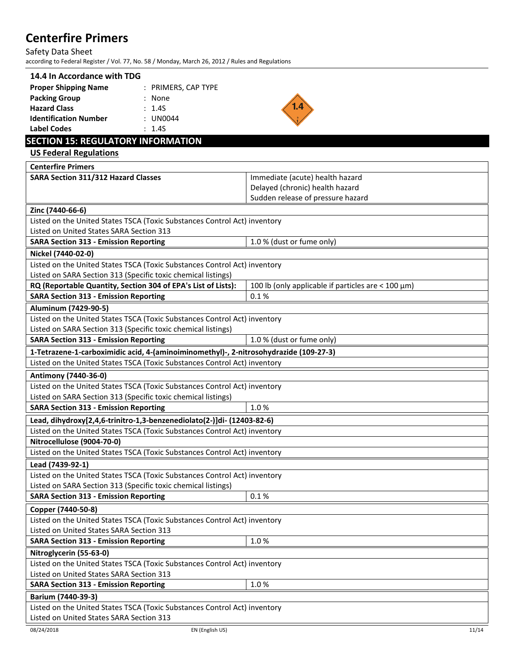Safety Data Sheet

according to Federal Register / Vol. 77, No. 58 / Monday, March 26, 2012 / Rules and Regulations

## **14.4 In Accordance with TDG**

| <b>Proper Shipping Name</b>  | : PRIMERS, CAP TYPE |
|------------------------------|---------------------|
| <b>Packing Group</b>         | : None              |
| <b>Hazard Class</b>          | $\cdot$ 1.45        |
| <b>Identification Number</b> | $:$ UN0044          |
| Label Codes                  | $\cdot$ 1.45        |



## **SECTION 15: REGULATORY INFORMATION**

**US Federal Regulations**

| <b>Centerfire Primers</b>                                                             |                                                           |
|---------------------------------------------------------------------------------------|-----------------------------------------------------------|
| <b>SARA Section 311/312 Hazard Classes</b>                                            | Immediate (acute) health hazard                           |
|                                                                                       | Delayed (chronic) health hazard                           |
|                                                                                       | Sudden release of pressure hazard                         |
| Zinc (7440-66-6)                                                                      |                                                           |
| Listed on the United States TSCA (Toxic Substances Control Act) inventory             |                                                           |
| Listed on United States SARA Section 313                                              |                                                           |
| <b>SARA Section 313 - Emission Reporting</b>                                          | 1.0 % (dust or fume only)                                 |
| Nickel (7440-02-0)                                                                    |                                                           |
| Listed on the United States TSCA (Toxic Substances Control Act) inventory             |                                                           |
| Listed on SARA Section 313 (Specific toxic chemical listings)                         |                                                           |
| RQ (Reportable Quantity, Section 304 of EPA's List of Lists):                         | 100 lb (only applicable if particles are $<$ 100 $\mu$ m) |
| <b>SARA Section 313 - Emission Reporting</b>                                          | 0.1%                                                      |
| Aluminum (7429-90-5)                                                                  |                                                           |
| Listed on the United States TSCA (Toxic Substances Control Act) inventory             |                                                           |
| Listed on SARA Section 313 (Specific toxic chemical listings)                         |                                                           |
| <b>SARA Section 313 - Emission Reporting</b>                                          | 1.0 % (dust or fume only)                                 |
| 1-Tetrazene-1-carboximidic acid, 4-(aminoiminomethyl)-, 2-nitrosohydrazide (109-27-3) |                                                           |
| Listed on the United States TSCA (Toxic Substances Control Act) inventory             |                                                           |
| Antimony (7440-36-0)                                                                  |                                                           |
| Listed on the United States TSCA (Toxic Substances Control Act) inventory             |                                                           |
| Listed on SARA Section 313 (Specific toxic chemical listings)                         |                                                           |
| <b>SARA Section 313 - Emission Reporting</b>                                          | 1.0%                                                      |
| Lead, dihydroxy[2,4,6-trinitro-1,3-benzenediolato(2-)]di- (12403-82-6)                |                                                           |
| Listed on the United States TSCA (Toxic Substances Control Act) inventory             |                                                           |
| Nitrocellulose (9004-70-0)                                                            |                                                           |
| Listed on the United States TSCA (Toxic Substances Control Act) inventory             |                                                           |
| Lead (7439-92-1)                                                                      |                                                           |
| Listed on the United States TSCA (Toxic Substances Control Act) inventory             |                                                           |
| Listed on SARA Section 313 (Specific toxic chemical listings)                         |                                                           |
| <b>SARA Section 313 - Emission Reporting</b>                                          | 0.1%                                                      |
| Copper (7440-50-8)                                                                    |                                                           |
| Listed on the United States TSCA (Toxic Substances Control Act) inventory             |                                                           |
| Listed on United States SARA Section 313                                              |                                                           |
| <b>SARA Section 313 - Emission Reporting</b>                                          | 1.0%                                                      |
| Nitroglycerin (55-63-0)                                                               |                                                           |
| Listed on the United States TSCA (Toxic Substances Control Act) inventory             |                                                           |
| Listed on United States SARA Section 313                                              |                                                           |
| <b>SARA Section 313 - Emission Reporting</b>                                          | 1.0%                                                      |
| Barium (7440-39-3)                                                                    |                                                           |
| Listed on the United States TSCA (Toxic Substances Control Act) inventory             |                                                           |
| Listed on United States SARA Section 313                                              |                                                           |
| 08/24/2018<br>EN (English US)                                                         | 11/14                                                     |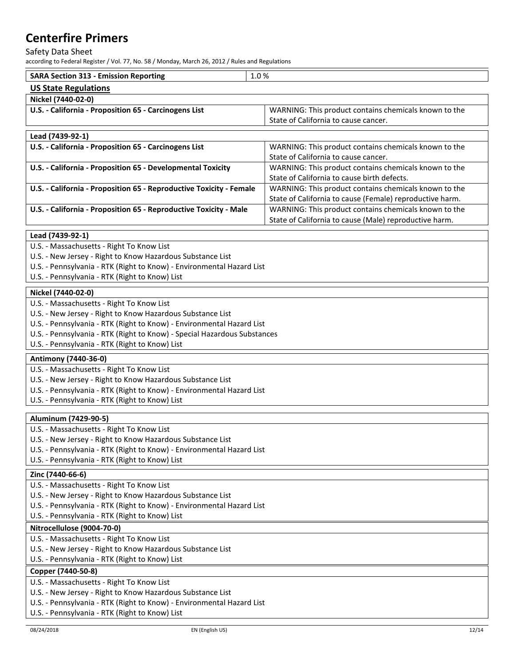#### Safety Data Sheet

according to Federal Register / Vol. 77, No. 58 / Monday, March 26, 2012 / Rules and Regulations

| <b>SARA Section 313 - Emission Reporting</b> | 1.0 % |
|----------------------------------------------|-------|
| <b>US State Regulations</b>                  |       |
| Nickel (7440-02-0)                           |       |

| 1110101117700401                                      |                                                       |
|-------------------------------------------------------|-------------------------------------------------------|
| U.S. - California - Proposition 65 - Carcinogens List | WARNING: This product contains chemicals known to the |
|                                                       | State of California to cause cancer.                  |

| Lead (7439-92-1)                                                    |                                                          |
|---------------------------------------------------------------------|----------------------------------------------------------|
| U.S. - California - Proposition 65 - Carcinogens List               | WARNING: This product contains chemicals known to the    |
|                                                                     | State of California to cause cancer.                     |
| U.S. - California - Proposition 65 - Developmental Toxicity         | WARNING: This product contains chemicals known to the    |
|                                                                     | State of California to cause birth defects.              |
| U.S. - California - Proposition 65 - Reproductive Toxicity - Female | WARNING: This product contains chemicals known to the    |
|                                                                     | State of California to cause (Female) reproductive harm. |
| U.S. - California - Proposition 65 - Reproductive Toxicity - Male   | WARNING: This product contains chemicals known to the    |
|                                                                     | State of California to cause (Male) reproductive harm.   |

### **Lead (7439-92-1)**

- U.S. Massachusetts Right To Know List
- U.S. New Jersey Right to Know Hazardous Substance List
- U.S. Pennsylvania RTK (Right to Know) Environmental Hazard List
- U.S. Pennsylvania RTK (Right to Know) List

### **Nickel (7440-02-0)**

- U.S. Massachusetts Right To Know List
- U.S. New Jersey Right to Know Hazardous Substance List
- U.S. Pennsylvania RTK (Right to Know) Environmental Hazard List
- U.S. Pennsylvania RTK (Right to Know) Special Hazardous Substances
- U.S. Pennsylvania RTK (Right to Know) List

### **Antimony (7440-36-0)**

### U.S. - Massachusetts - Right To Know List

- U.S. New Jersey Right to Know Hazardous Substance List
- U.S. Pennsylvania RTK (Right to Know) Environmental Hazard List
- U.S. Pennsylvania RTK (Right to Know) List

#### **Aluminum (7429-90-5)**

- U.S. Massachusetts Right To Know List
- U.S. New Jersey Right to Know Hazardous Substance List
- U.S. Pennsylvania RTK (Right to Know) Environmental Hazard List
- U.S. Pennsylvania RTK (Right to Know) List

### **Zinc (7440-66-6)**

- U.S. Massachusetts Right To Know List
- U.S. New Jersey Right to Know Hazardous Substance List
- U.S. Pennsylvania RTK (Right to Know) Environmental Hazard List

U.S. - Pennsylvania - RTK (Right to Know) List

### **Nitrocellulose (9004-70-0)**

- U.S. Massachusetts Right To Know List
- U.S. New Jersey Right to Know Hazardous Substance List
- U.S. Pennsylvania RTK (Right to Know) List

### **Copper (7440-50-8)**

- U.S. Massachusetts Right To Know List
- U.S. New Jersey Right to Know Hazardous Substance List
- U.S. Pennsylvania RTK (Right to Know) Environmental Hazard List
- U.S. Pennsylvania RTK (Right to Know) List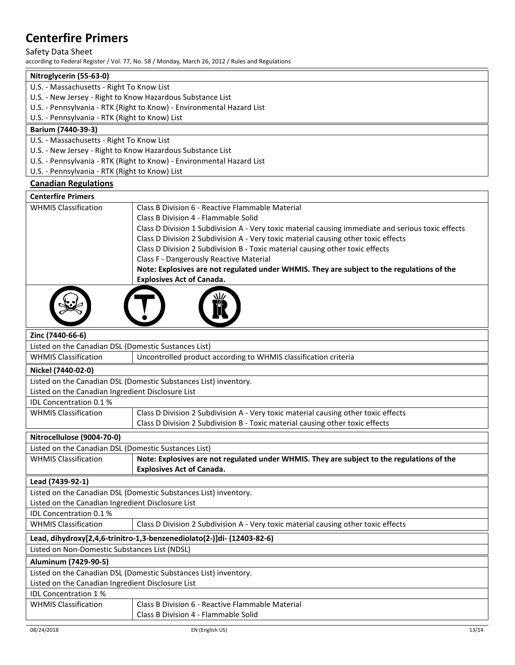### Safety Data Sheet

according to Federal Register / Vol. 77, No. 58 / Monday, March 26, 2012 / Rules and Regulations

| Nitroglycerin (55-63-0)                                               |  |
|-----------------------------------------------------------------------|--|
| U.S. - Massachusetts - Right To Know List                             |  |
| U.S. - New Jersey - Right to Know Hazardous Substance List            |  |
| U.S. - Pennsylvania - RTK (Right to Know) - Environmental Hazard List |  |
| U.S. - Pennsylvania - RTK (Right to Know) List                        |  |
| Barium (7440-39-3)                                                    |  |
| U.S. - Massachusetts - Right To Know List                             |  |
| U.S. - New Jersey - Right to Know Hazardous Substance List            |  |
| U.S. - Pennsylvania - RTK (Right to Know) - Environmental Hazard List |  |

U.S. - Pennsylvania - RTK (Right to Know) List

### **Canadian Regulations**

| <b>Centerfire Primers</b>   |                                                                                                    |
|-----------------------------|----------------------------------------------------------------------------------------------------|
| <b>WHMIS Classification</b> | Class B Division 6 - Reactive Flammable Material                                                   |
|                             | Class B Division 4 - Flammable Solid                                                               |
|                             | Class D Division 1 Subdivision A - Very toxic material causing immediate and serious toxic effects |
|                             | Class D Division 2 Subdivision A - Very toxic material causing other toxic effects                 |
|                             | Class D Division 2 Subdivision B - Toxic material causing other toxic effects                      |
|                             | Class F - Dangerously Reactive Material                                                            |
|                             | Note: Explosives are not regulated under WHMIS. They are subject to the regulations of the         |
|                             | <b>Explosives Act of Canada.</b>                                                                   |
|                             |                                                                                                    |



#### **Zinc (7440-66-6)**

Listed on the Canadian DSL (Domestic Sustances List)

| <b>WHMIS Classification</b> | Uncontrolled product according to WHMIS classification criteria |
|-----------------------------|-----------------------------------------------------------------|
| Nickel (7440-02-0)          |                                                                 |

**LIL** 

## Listed on the Canadian DSL (Domestic Substances List) inventory.

Listed on the Canadian Ingredient Disclosure List

IDL Concentration 0.1 % WHMIS Classification

| ρn | Class D Division 2 Subdivision A - Very toxic material causing other toxic effects |
|----|------------------------------------------------------------------------------------|
|    | Class D Division 2 Subdivision B - Toxic material causing other toxic effects      |

### **Nitrocellulose (9004-70-0)**

| Listed on the Canadian DSL (Domestic Sustances List)                   |                                                                                            |  |
|------------------------------------------------------------------------|--------------------------------------------------------------------------------------------|--|
| <b>WHMIS Classification</b>                                            | Note: Explosives are not regulated under WHMIS. They are subject to the regulations of the |  |
|                                                                        | <b>Explosives Act of Canada.</b>                                                           |  |
| Lead (7439-92-1)                                                       |                                                                                            |  |
|                                                                        | Listed on the Canadian DSL (Domestic Substances List) inventory.                           |  |
| Listed on the Canadian Ingredient Disclosure List                      |                                                                                            |  |
| <b>IDL Concentration 0.1%</b>                                          |                                                                                            |  |
| <b>WHMIS Classification</b>                                            | Class D Division 2 Subdivision A - Very toxic material causing other toxic effects         |  |
| Lead, dihydroxy[2,4,6-trinitro-1,3-benzenediolato(2-)]di- (12403-82-6) |                                                                                            |  |
| Listed on Non-Domestic Substances List (NDSL)                          |                                                                                            |  |
| Aluminum (7429-90-5)                                                   |                                                                                            |  |
| Listed on the Canadian DSL (Domestic Substances List) inventory.       |                                                                                            |  |
| Listed on the Canadian Ingredient Disclosure List                      |                                                                                            |  |
| <b>IDL Concentration 1%</b>                                            |                                                                                            |  |
| <b>WHMIS Classification</b>                                            | Class B Division 6 - Reactive Flammable Material                                           |  |
|                                                                        |                                                                                            |  |